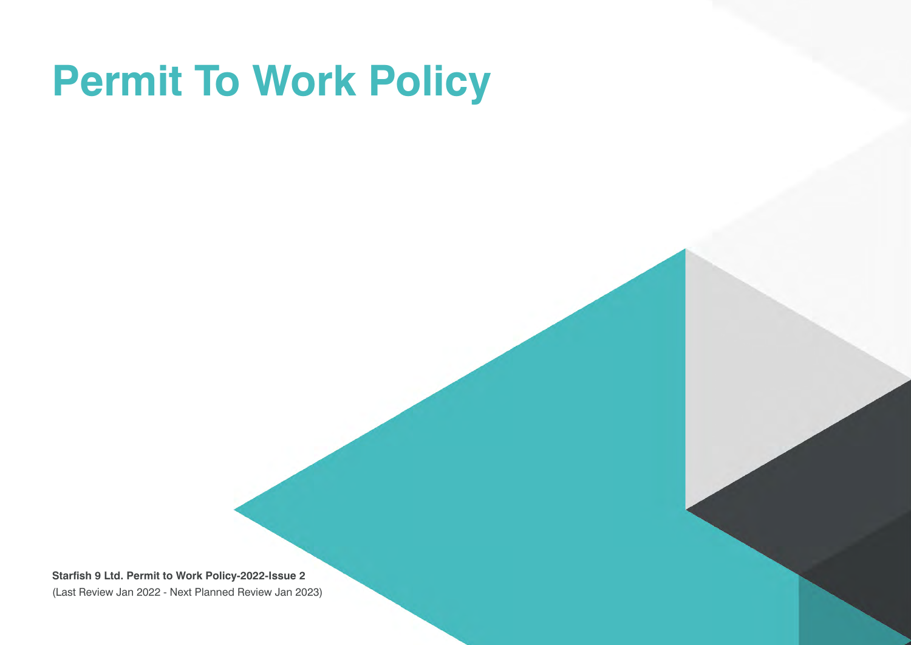## **Permit To Work Policy**

**Starfish 9 Ltd. Permit to Work Policy-2022-Issue 2** (Last Review Jan 2022 - Next Planned Review Jan 2023)